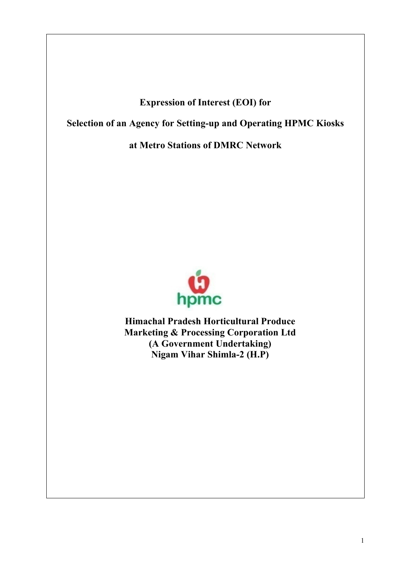# **Expression of Interest (EOI) for**

**Selection of an Agency for Setting-up and Operating HPMC Kiosks**

**at Metro Stations of DMRC Network**



**Himachal Pradesh Horticultural Produce Marketing & Processing Corporation Ltd (A Government Undertaking) Nigam Vihar Shimla-2 (H.P)**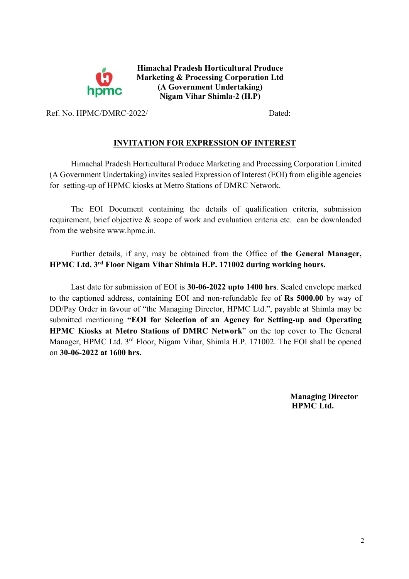

**Himachal Pradesh Horticultural Produce Marketing & Processing Corporation Ltd (A Government Undertaking) Nigam Vihar Shimla-2 (H.P)**

Ref. No. HPMC/DMRC-2022/ Dated:

### **INVITATION FOR EXPRESSION OF INTEREST**

Himachal Pradesh Horticultural Produce Marketing and Processing Corporation Limited (A Government Undertaking) invites sealed Expression of Interest (EOI) from eligible agencies for setting-up of HPMC kiosks at Metro Stations of DMRC Network.

The EOI Document containing the details of qualification criteria, submission requirement, brief objective & scope of work and evaluation criteria etc. can be downloaded from the website www.hpmc.in.

Further details, if any, may be obtained from the Office of **the General Manager, HPMC Ltd. 3rd Floor Nigam Vihar Shimla H.P. 171002 during working hours.**

Last date for submission of EOI is **30-06-2022 upto 1400 hrs**. Sealed envelope marked to the captioned address, containing EOI and non-refundable fee of **Rs 5000.00** by way of DD/Pay Order in favour of "the Managing Director, HPMC Ltd.", payable at Shimla may be submitted mentioning **"EOI for Selection of an Agency for Setting-up and Operating HPMC Kiosks at Metro Stations of DMRC Network**" on the top cover to The General Manager, HPMC Ltd. 3<sup>rd</sup> Floor, Nigam Vihar, Shimla H.P. 171002. The EOI shall be opened on **30-06-2022 at 1600 hrs.**

> **Managing Director HPMC Ltd.**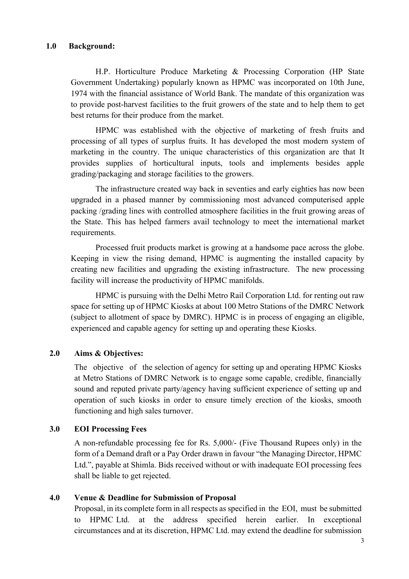H.P. Horticulture Produce Marketing & Processing Corporation (HP State Government Undertaking) popularly known as HPMC was incorporated on 10th June, 1974 with the financial assistance of World Bank. The mandate of this organization was to provide post-harvest facilities to the fruit growers of the state and to help them to get best returns for their produce from the market.

HPMC was established with the objective of marketing of fresh fruits and processing of all types of surplus fruits. It has developed the most modern system of marketing in the country. The unique characteristics of this organization are that It provides supplies of horticultural inputs, tools and implements besides apple grading/packaging and storage facilities to the growers.

The infrastructure created way back in seventies and early eighties has now been upgraded in a phased manner by commissioning most advanced computerised apple packing /grading lines with controlled atmosphere facilities in the fruit growing areas of the State. This has helped farmers avail technology to meet the international market requirements.

Processed fruit products market is growing at a handsome pace across the globe. Keeping in view the rising demand, HPMC is augmenting the installed capacity by creating new facilities and upgrading the existing infrastructure. The new processing facility will increase the productivity of HPMC manifolds.

HPMC is pursuing with the Delhi Metro Rail Corporation Ltd. for renting out raw space for setting up of HPMC Kiosks at about 100 Metro Stations of the DMRC Network (subject to allotment of space by DMRC). HPMC is in process of engaging an eligible, experienced and capable agency for setting up and operating these Kiosks.

## **2.0 Aims & Objectives:**

The objective of the selection of agency for setting up and operating HPMC Kiosks at Metro Stations of DMRC Network is to engage some capable, credible, financially sound and reputed private party/agency having sufficient experience of setting up and operation of such kiosks in order to ensure timely erection of the kiosks, smooth functioning and high sales turnover.

### **3.0 EOI Processing Fees**

A non-refundable processing fee for Rs. 5,000/- (Five Thousand Rupees only) in the form of a Demand draft or a Pay Order drawn in favour "the Managing Director, HPMC Ltd.", payable at Shimla. Bids received without or with inadequate EOI processing fees shall be liable to get rejected.

### **4.0 Venue & Deadline for Submission of Proposal**

Proposal, in its complete form in all respects as specified in the EOI, must be submitted to HPMC Ltd. at the address specified herein earlier. In exceptional circumstances and at its discretion, HPMC Ltd. may extend the deadline for submission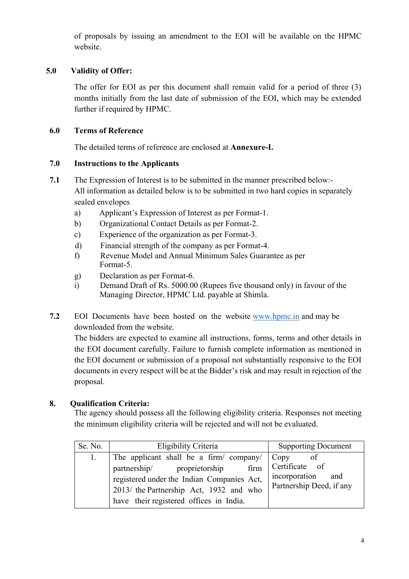of proposals by issuing an amendment to the EOI will be available on the HPMC website.

## **5.0 Validity of Offer:**

The offer for EOI as per this document shall remain valid for a period of three (3) months initially from the last date of submission of the EOI, which may be extended further if required by HPMC.

## **6.0 Terms of Reference**

The detailed terms of reference are enclosed at **Annexure-I.**

## **7.0 Instructions to the Applicants**

- **7.1** The Expression of Interest is to be submitted in the manner prescribed below:- All information as detailed below is to be submitted in two hard copies in separately sealed envelopes
	- a) Applicant's Expression of Interest as per Format-1.
	- b) Organizational Contact Details as per Format-2.
	- c) Experience of the organization as per Format-3.
	- d) Financial strength of the company as per Format-4.
	- f) Revenue Model and Annual Minimum Sales Guarantee as per Format-5.
	- g) Declaration as per Format-6.
	- i) Demand Draft of Rs. 5000.00 (Rupees five thousand only) in favour of the Managing Director, HPMC Ltd. payable at Shimla.
- **7.2** EOI Documents have been hosted on the website www.hpmc.in and may be downloaded from the website.

The bidders are expected to examine all instructions, forms, terms and other details in the EOI document carefully. Failure to furnish complete information as mentioned in the EOI document or submission of a proposal not substantially responsive to the EOI documents in every respect will be at the Bidder's risk and may result in rejection of the proposal.

## **8. Qualification Criteria:**

The agency should possess all the following eligibility criteria. Responses not meeting the minimum eligibility criteria will be rejected and will not be evaluated.

| Se. No. | Eligibility Criteria                                                                                                                                                                                               | <b>Supporting Document</b>                                                 |
|---------|--------------------------------------------------------------------------------------------------------------------------------------------------------------------------------------------------------------------|----------------------------------------------------------------------------|
| 1.      | The applicant shall be a firm/ company/<br>partnership/ proprietorship<br>firm<br>registered under the Indian Companies Act,<br>2013/ the Partnership Act, 1932 and who<br>have their registered offices in India. | Copy<br>Certificate of<br>incorporation<br>and<br>Partnership Deed, if any |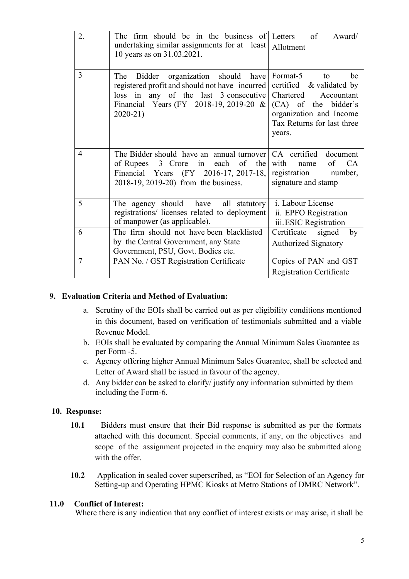| 2.             | The firm should be in the business of Letters of<br>undertaking similar assignments for at least<br>10 years as on 31.03.2021.                                                             | Award/<br>Allotment                                                                                                                                                    |
|----------------|--------------------------------------------------------------------------------------------------------------------------------------------------------------------------------------------|------------------------------------------------------------------------------------------------------------------------------------------------------------------------|
| 3              | Bidder organization should have<br>The<br>registered profit and should not have incurred<br>loss in any of the last 3 consecutive<br>Financial Years (FY 2018-19, 2019-20 &<br>$2020 - 21$ | Format-5<br>be<br>to<br>certified & validated by<br>Chartered<br>Accountant<br>(CA) of the bidder's<br>organization and Income<br>Tax Returns for last three<br>years. |
| $\overline{4}$ | The Bidder should have an annual turnover<br>of Rupees 3 Crore in each<br>of<br>the<br>Financial Years (FY 2016-17, 2017-18,<br>2018-19, 2019-20) from the business.                       | CA certified document<br>with<br>of<br><b>CA</b><br>name<br>registration<br>number,<br>signature and stamp                                                             |
| 5              | The agency should have<br>all statutory<br>registrations/ licenses related to deployment<br>of manpower (as applicable).                                                                   | i. Labour License<br>ii. EPFO Registration<br>iii. ESIC Registration                                                                                                   |
| 6              | The firm should not have been blacklisted<br>by the Central Government, any State<br>Government, PSU, Govt. Bodies etc.                                                                    | Certificate signed<br>by<br><b>Authorized Signatory</b>                                                                                                                |
| $\overline{7}$ | PAN No. / GST Registration Certificate                                                                                                                                                     | Copies of PAN and GST<br><b>Registration Certificate</b>                                                                                                               |

## **9. Evaluation Criteria and Method of Evaluation:**

- a. Scrutiny of the EOIs shall be carried out as per eligibility conditions mentioned in this document, based on verification of testimonials submitted and a viable Revenue Model.
- b. EOIs shall be evaluated by comparing the Annual Minimum Sales Guarantee as per Form -5.
- c. Agency offering higher Annual Minimum Sales Guarantee, shall be selected and Letter of Award shall be issued in favour of the agency.
- d. Any bidder can be asked to clarify/ justify any information submitted by them including the Form-6.

### **10. Response:**

- **10.1** Bidders must ensure that their Bid response is submitted as per the formats attached with this document. Special comments, if any, on the objectives and scope of the assignment projected in the enquiry may also be submitted along with the offer.
- **10.2** Application in sealed cover superscribed, as "EOI for Selection of an Agency for Setting-up and Operating HPMC Kiosks at Metro Stations of DMRC Network".

### **11.0 Conflict of Interest:**

Where there is any indication that any conflict of interest exists or may arise, it shall be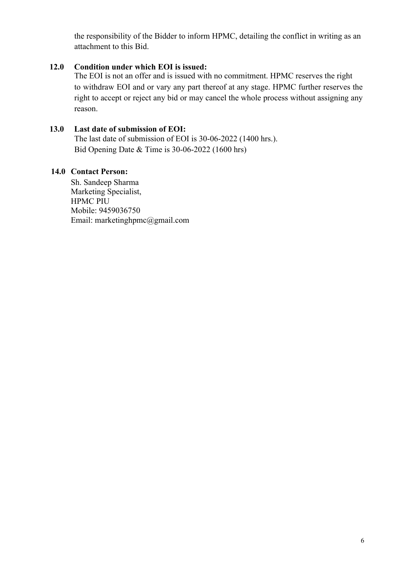the responsibility of the Bidder to inform HPMC, detailing the conflict in writing as an attachment to this Bid.

## **12.0 Condition under which EOI is issued:**

The EOI is not an offer and is issued with no commitment. HPMC reserves the right to withdraw EOI and or vary any part thereof at any stage. HPMC further reserves the right to accept or reject any bid or may cancel the whole process without assigning any reason.

## **13.0 Last date of submission of EOI:**

The last date of submission of EOI is 30-06-2022 (1400 hrs.). Bid Opening Date & Time is 30-06-2022 (1600 hrs)

## **14.0 Contact Person:**

Sh. Sandeep Sharma Marketing Specialist, HPMC PIU Mobile: 9459036750 Email: marketinghpmc@gmail.com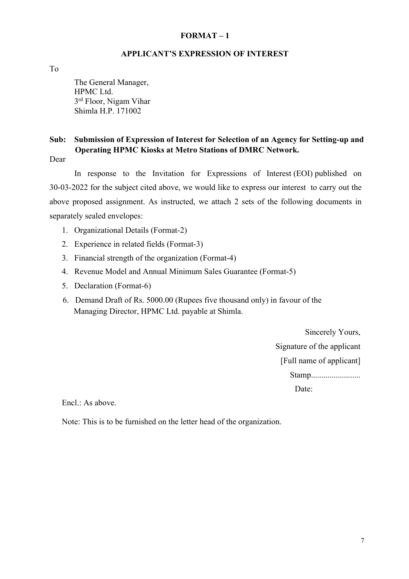#### **APPLICANT'S EXPRESSION OF INTEREST**

To

The General Manager, HPMC Ltd. 3rd Floor, Nigam Vihar Shimla H.P. 171002

## **Sub: Submission of Expression of Interest for Selection of an Agency for Setting-up and Operating HPMC Kiosks at Metro Stations of DMRC Network.**

Dear

In response to the Invitation for Expressions of Interest (EOI) published on 30-03-2022 for the subject cited above, we would like to express our interest to carry out the above proposed assignment. As instructed, we attach 2 sets of the following documents in separately sealed envelopes:

- 1. Organizational Details (Format-2)
- 2. Experience in related fields (Format-3)
- 3. Financial strength of the organization (Format-4)
- 4. Revenue Model and Annual Minimum Sales Guarantee (Format-5)
- 5. Declaration (Format-6)
- 6. Demand Draft of Rs. 5000.00 (Rupees five thousand only) in favour of the Managing Director, HPMC Ltd. payable at Shimla.

Sincerely Yours, Signature of the applicant [Full name of applicant] Stamp.......................... Date:

Encl.: As above.

Note: This is to be furnished on the letter head of the organization.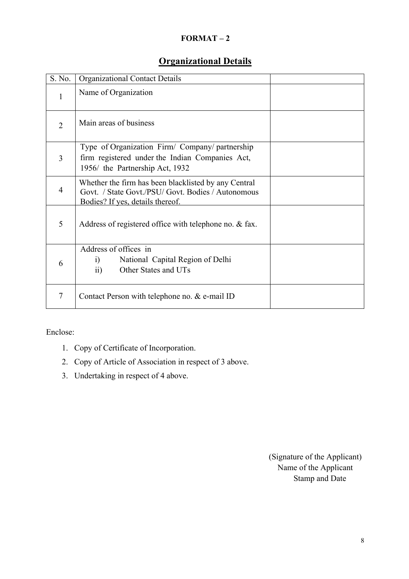# **Organizational Details**

| S. No.         | <b>Organizational Contact Details</b>                                                                                                          |  |
|----------------|------------------------------------------------------------------------------------------------------------------------------------------------|--|
| 1              | Name of Organization                                                                                                                           |  |
| $\overline{2}$ | Main areas of business                                                                                                                         |  |
| $\overline{3}$ | Type of Organization Firm/ Company/ partnership<br>firm registered under the Indian Companies Act,<br>1956/ the Partnership Act, 1932          |  |
| $\overline{4}$ | Whether the firm has been blacklisted by any Central<br>Govt. / State Govt./PSU/ Govt. Bodies / Autonomous<br>Bodies? If yes, details thereof. |  |
| 5              | Address of registered office with telephone no. & fax.                                                                                         |  |
| 6              | Address of offices in<br>National Capital Region of Delhi<br>$\ddot{1}$<br>$\overline{11}$<br>Other States and UTs                             |  |
| 7              | Contact Person with telephone no. & e-mail ID                                                                                                  |  |

Enclose:

- 1. Copy of Certificate of Incorporation.
- 2. Copy of Article of Association in respect of 3 above.
- 3. Undertaking in respect of 4 above.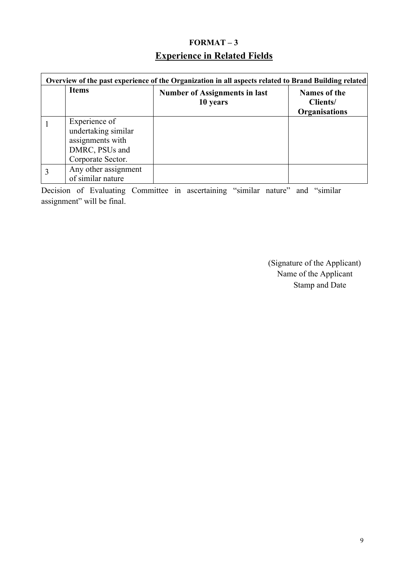# **FORMAT – 3 Experience in Related Fields**

| Overview of the past experience of the Organization in all aspects related to Brand Building related |                                                  |                                                  |  |
|------------------------------------------------------------------------------------------------------|--------------------------------------------------|--------------------------------------------------|--|
| <b>Items</b>                                                                                         | <b>Number of Assignments in last</b><br>10 years | <b>Names of the</b><br>Clients/<br>Organisations |  |
| Experience of<br>undertaking similar<br>assignments with<br>DMRC, PSUs and<br>Corporate Sector.      |                                                  |                                                  |  |
| Any other assignment<br>of similar nature                                                            |                                                  |                                                  |  |

Decision of Evaluating Committee in ascertaining "similar nature" and "similar assignment" will be final.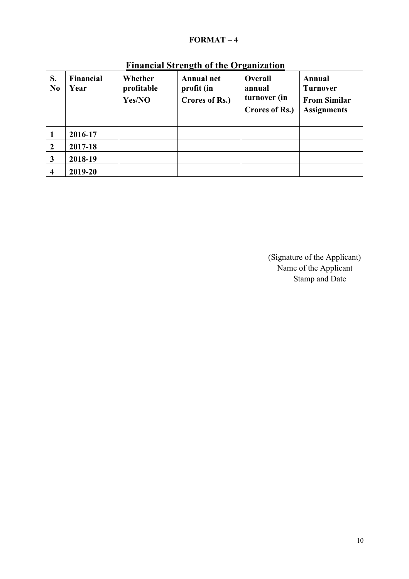| <b>Financial Strength of the Organization</b> |                          |                                 |                                                   |                                                            |                                                                        |
|-----------------------------------------------|--------------------------|---------------------------------|---------------------------------------------------|------------------------------------------------------------|------------------------------------------------------------------------|
| S.<br>N <sub>0</sub>                          | <b>Financial</b><br>Year | Whether<br>profitable<br>Yes/NO | <b>Annual net</b><br>profit (in<br>Crores of Rs.) | <b>Overall</b><br>annual<br>turnover (in<br>Crores of Rs.) | Annual<br><b>Turnover</b><br><b>From Similar</b><br><b>Assignments</b> |
|                                               | 2016-17                  |                                 |                                                   |                                                            |                                                                        |
| $\boldsymbol{2}$                              | 2017-18                  |                                 |                                                   |                                                            |                                                                        |
| 3                                             | 2018-19                  |                                 |                                                   |                                                            |                                                                        |
| 4                                             | 2019-20                  |                                 |                                                   |                                                            |                                                                        |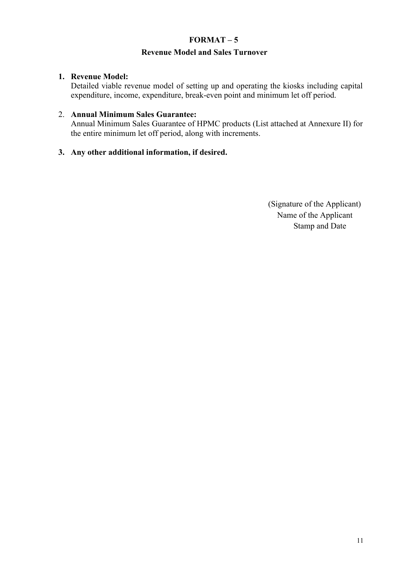## **Revenue Model and Sales Turnover**

### **1. Revenue Model:**

Detailed viable revenue model of setting up and operating the kiosks including capital expenditure, income, expenditure, break-even point and minimum let off period.

### 2. **Annual Minimum Sales Guarantee:**

Annual Minimum Sales Guarantee of HPMC products (List attached at Annexure II) for the entire minimum let off period, along with increments.

## **3. Any other additional information, if desired.**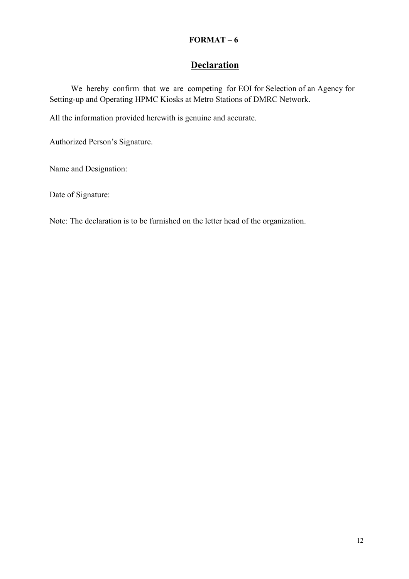# **Declaration**

We hereby confirm that we are competing for EOI for Selection of an Agency for Setting-up and Operating HPMC Kiosks at Metro Stations of DMRC Network.

All the information provided herewith is genuine and accurate.

Authorized Person's Signature.

Name and Designation:

Date of Signature:

Note: The declaration is to be furnished on the letter head of the organization.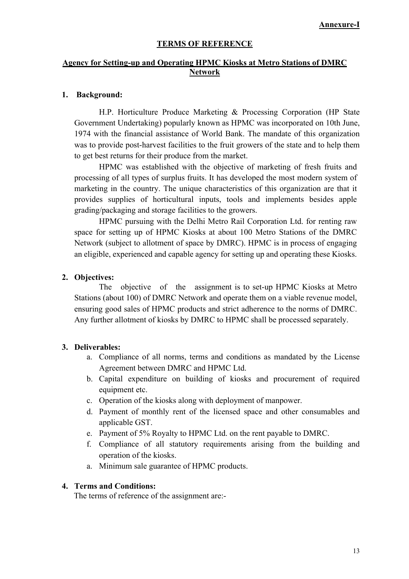#### **TERMS OF REFERENCE**

### **Agency for Setting-up and Operating HPMC Kiosks at Metro Stations of DMRC Network**

#### **1. Background:**

H.P. Horticulture Produce Marketing & Processing Corporation (HP State Government Undertaking) popularly known as HPMC was incorporated on 10th June, 1974 with the financial assistance of World Bank. The mandate of this organization was to provide post-harvest facilities to the fruit growers of the state and to help them to get best returns for their produce from the market.

HPMC was established with the objective of marketing of fresh fruits and processing of all types of surplus fruits. It has developed the most modern system of marketing in the country. The unique characteristics of this organization are that it provides supplies of horticultural inputs, tools and implements besides apple grading/packaging and storage facilities to the growers.

HPMC pursuing with the Delhi Metro Rail Corporation Ltd. for renting raw space for setting up of HPMC Kiosks at about 100 Metro Stations of the DMRC Network (subject to allotment of space by DMRC). HPMC is in process of engaging an eligible, experienced and capable agency for setting up and operating these Kiosks.

#### **2. Objectives:**

The objective of the assignment is to set-up HPMC Kiosks at Metro Stations (about 100) of DMRC Network and operate them on a viable revenue model, ensuring good sales of HPMC products and strict adherence to the norms of DMRC. Any further allotment of kiosks by DMRC to HPMC shall be processed separately.

#### **3. Deliverables:**

- a. Compliance of all norms, terms and conditions as mandated by the License Agreement between DMRC and HPMC Ltd.
- b. Capital expenditure on building of kiosks and procurement of required equipment etc.
- c. Operation of the kiosks along with deployment of manpower.
- d. Payment of monthly rent of the licensed space and other consumables and applicable GST.
- e. Payment of 5% Royalty to HPMC Ltd. on the rent payable to DMRC.
- f. Compliance of all statutory requirements arising from the building and operation of the kiosks.
- a. Minimum sale guarantee of HPMC products.

### **4. Terms and Conditions:**

The terms of reference of the assignment are:-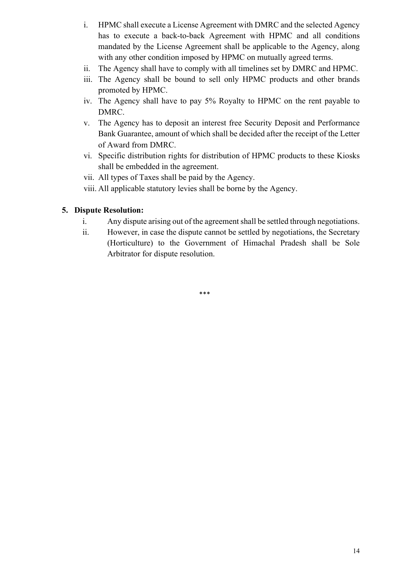- i. HPMC shall execute a License Agreement with DMRC and the selected Agency has to execute a back-to-back Agreement with HPMC and all conditions mandated by the License Agreement shall be applicable to the Agency, along with any other condition imposed by HPMC on mutually agreed terms.
- ii. The Agency shall have to comply with all timelines set by DMRC and HPMC.
- iii. The Agency shall be bound to sell only HPMC products and other brands promoted by HPMC.
- iv. The Agency shall have to pay 5% Royalty to HPMC on the rent payable to DMRC.
- v. The Agency has to deposit an interest free Security Deposit and Performance Bank Guarantee, amount of which shall be decided after the receipt of the Letter of Award from DMRC.
- vi. Specific distribution rights for distribution of HPMC products to these Kiosks shall be embedded in the agreement.
- vii. All types of Taxes shall be paid by the Agency.
- viii. All applicable statutory levies shall be borne by the Agency.

## **5. Dispute Resolution:**

- i. Any dispute arising out of the agreement shall be settled through negotiations.
- ii. However, in case the dispute cannot be settled by negotiations, the Secretary (Horticulture) to the Government of Himachal Pradesh shall be Sole Arbitrator for dispute resolution.

\*\*\*